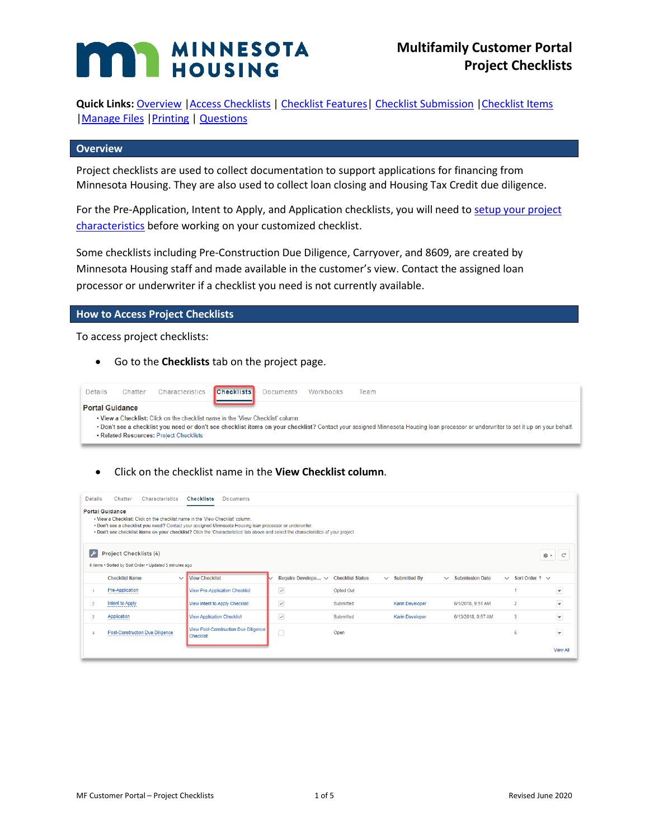# **MINNESOTA HOUSING**

**Quick Links:** [Overview](#page-0-0) [|Access Checklists](#page-0-1) | [Checklist Features|](#page-1-0) Checklist [Submission](#page-2-0) [|Checklist Items](#page-3-0) | Manage Files | Printing | [Questions](#page-4-2)

#### <span id="page-0-0"></span>**Overview**

Project checklists are used to collect documentation to support applications for financing from Minnesota Housing. They are also used to collect loan closing and Housing Tax Credit due diligence.

For the Pre-Application, Intent to Apply, and Application checklists, you will need t[o setup your project](http://www.mnhousing.gov/get/MHFA_238298)  [characteristics](http://www.mnhousing.gov/get/MHFA_238298) before working on your customized checklist.

Some checklists including Pre-Construction Due Diligence, Carryover, and 8609, are created by Minnesota Housing staff and made available in the customer's view. Contact the assigned loan processor or underwriter if a checklist you need is not currently available.

#### <span id="page-0-1"></span>**How to Access Project Checklists**

To access project checklists:

• Go to the **Checklists** tab on the project page.



• Click on the checklist name in the **View Checklist column**.

| Chatter<br>Details<br>Characteristics<br><b>Checklists</b><br><b>Documents</b>                                                                                                                                                                                                                                                                                |                                                          |                                     |           |                                     |                        |                            |                          |  |
|---------------------------------------------------------------------------------------------------------------------------------------------------------------------------------------------------------------------------------------------------------------------------------------------------------------------------------------------------------------|----------------------------------------------------------|-------------------------------------|-----------|-------------------------------------|------------------------|----------------------------|--------------------------|--|
| <b>Portal Guidance</b><br>. View a Checklist: Click on the checklist name in the 'View Checklist' column.<br>. Don't see a checklist you need? Contact your assigned Minnesota Housing loan processor or underwriter.<br>. Don't see checklist items on your checklist? Click the 'Characteristics' tab above and select the characteristics of your project. |                                                          |                                     |           |                                     |                        |                            |                          |  |
| $\overline{\phantom{a}}$<br><b>Project Checklists (4)</b><br>傘。<br>$\mathbb{C}^d$<br>4 items . Sorted by Sort Order . Updated 5 minutes ago                                                                                                                                                                                                                   |                                                          |                                     |           |                                     |                        |                            |                          |  |
| <b>Checklist Name</b><br>$\checkmark$                                                                                                                                                                                                                                                                                                                         | <b>View Checklist</b>                                    | Require Develope ~ Checklist Status |           | $\vee$ Submitted By<br>$\checkmark$ | <b>Submission Date</b> | $\vee$ Sort Order 1 $\vee$ |                          |  |
| Pre-Application                                                                                                                                                                                                                                                                                                                                               | <b>View Pre-Application Checklist</b>                    | $\boxed{\checkmark}$                | Opted Out |                                     |                        |                            | $\overline{\phantom{0}}$ |  |
| Intent to Apply                                                                                                                                                                                                                                                                                                                                               | View Intent to Apply Checklist                           | ☑                                   | Submitted | <b>Karin Developer</b>              | 6/1/2018, 9:51 AM      | $\overline{2}$             | $\overline{\phantom{0}}$ |  |
| Application                                                                                                                                                                                                                                                                                                                                                   | <b>View Application Checklist</b>                        | ☑                                   | Submitted | <b>Karin Developer</b>              | 6/13/2018, 9:57 AM     | 3                          | $\overline{\phantom{a}}$ |  |
| <b>Post-Construction Due Diligence</b>                                                                                                                                                                                                                                                                                                                        | View Post-Construction Due Diligence<br><b>Checklist</b> | П                                   | Open      |                                     |                        | 6                          | $\overline{\phantom{0}}$ |  |
|                                                                                                                                                                                                                                                                                                                                                               |                                                          |                                     |           |                                     |                        |                            | <b>View All</b>          |  |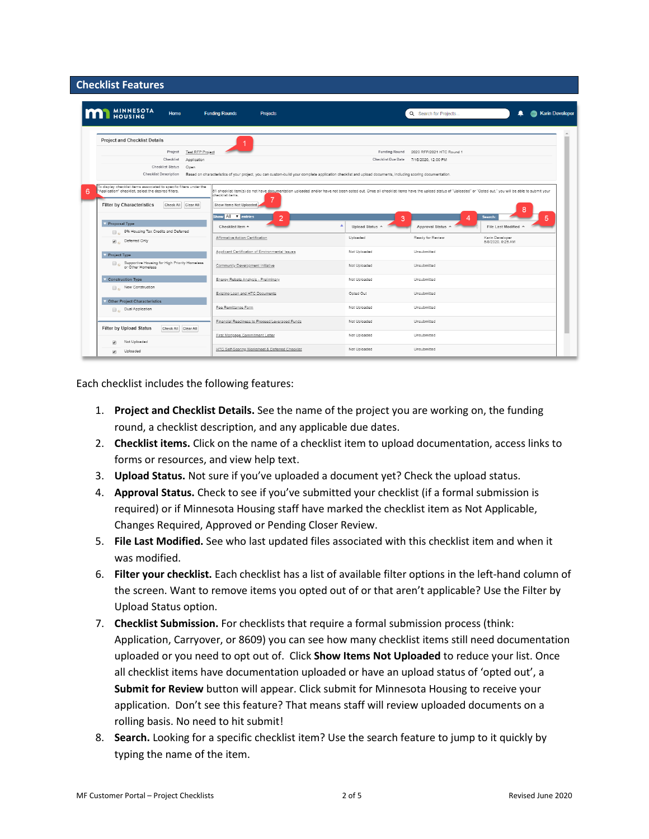## <span id="page-1-0"></span>**Checklist Features**

| <b>MINNESOTA</b><br>Home                                                                                                                                                                  | <b>Funding Rounds</b><br><b>Projects</b>                                                                                                                                                                                                            |                      | Q Search for Projects                  | <b>Karin Developer</b><br>≞          |
|-------------------------------------------------------------------------------------------------------------------------------------------------------------------------------------------|-----------------------------------------------------------------------------------------------------------------------------------------------------------------------------------------------------------------------------------------------------|----------------------|----------------------------------------|--------------------------------------|
| <b>Project and Checklist Details</b>                                                                                                                                                      |                                                                                                                                                                                                                                                     |                      |                                        |                                      |
| Project<br><b>Test RFP Project</b>                                                                                                                                                        |                                                                                                                                                                                                                                                     | <b>Funding Round</b> | 2020 RFP/2021 HTC Round 1              |                                      |
| Checklist<br>Application                                                                                                                                                                  |                                                                                                                                                                                                                                                     |                      | Checklist Due Date 7/16/2020, 12:00 PM |                                      |
| <b>Checklist Status</b><br>Open                                                                                                                                                           |                                                                                                                                                                                                                                                     |                      |                                        |                                      |
| <b>Checklist Description</b>                                                                                                                                                              | Based on characteristics of your project, you can custom-build your complete application checklist and upload documents, including scoring documentation.                                                                                           |                      |                                        |                                      |
| To display checklist items associated to specific filters under the<br>"Application" checklist, select the desired filters.<br><b>Filter by Characteristics</b><br>Check All<br>Clear All | 51 checklist item(s) do not have documentation uploaded and/or have not been opted out. Once all checklist items have the upload status of "Uploaded" or "Opted out," you will be able to submit your<br>checklist items<br>Show Items Not Uploaded |                      |                                        |                                      |
|                                                                                                                                                                                           | Show All <b>T</b> entries                                                                                                                                                                                                                           |                      |                                        | Search:                              |
| Proposal Type                                                                                                                                                                             | $\overline{2}$                                                                                                                                                                                                                                      | 3                    |                                        | 5                                    |
| <sup>9%</sup> Housing Tax Credits and Deferred                                                                                                                                            | Checklist Item A                                                                                                                                                                                                                                    | Upload Status ^      | Approval Status ^                      | File Last Modified ^                 |
| Deferred Only<br>$\mathbf{z}$                                                                                                                                                             | Affirmative Action Certification                                                                                                                                                                                                                    | Uploaded             | Ready for Review                       | Karin Developer<br>5/8/2020, 9:26 AM |
| <b>Project Type</b>                                                                                                                                                                       | Applicant Certification of Environmental Issues                                                                                                                                                                                                     | Not Uploaded         | Unsubmitted                            |                                      |
| Supportive Housing for High Priority Homeless<br>or Other Homeless                                                                                                                        | Community Development Initiative                                                                                                                                                                                                                    | Not Uploaded         | Unsubmitted                            |                                      |
| <b>Construction Type</b>                                                                                                                                                                  | Energy Rebate Analysis - Preliminary                                                                                                                                                                                                                | Not Uploaded         | Unsubmitted                            |                                      |
| Rew Construction                                                                                                                                                                          |                                                                                                                                                                                                                                                     |                      |                                        |                                      |
|                                                                                                                                                                                           | Existing Loan and HTC Documents                                                                                                                                                                                                                     | Opted Out            | Unsubmitted                            |                                      |
| <b>Other Project Characteristics</b>                                                                                                                                                      | Fee Remittance Form                                                                                                                                                                                                                                 | Not Uploaded         | Unsubmitted                            |                                      |
| Dual Application                                                                                                                                                                          |                                                                                                                                                                                                                                                     |                      |                                        |                                      |
| <b>Filter by Upload Status</b><br>Check All Clear All                                                                                                                                     | Financial Readiness to Proceed/Leveraged Funds                                                                                                                                                                                                      | Not Uploaded         | Unsubmitted                            |                                      |
|                                                                                                                                                                                           | First Mortgage Commitment Letter                                                                                                                                                                                                                    | Not Uploaded         | Unsubmitted                            |                                      |

Each checklist includes the following features:

- 1. **Project and Checklist Details.** See the name of the project you are working on, the funding round, a checklist description, and any applicable due dates.
- 2. **Checklist items.** Click on the name of a checklist item to upload documentation, access links to forms or resources, and view help text.
- 3. **Upload Status.** Not sure if you've uploaded a document yet? Check the upload status.
- 4. **Approval Status.** Check to see if you've submitted your checklist (if a formal submission is required) or if Minnesota Housing staff have marked the checklist item as Not Applicable, Changes Required, Approved or Pending Closer Review.
- 5. **File Last Modified.** See who last updated files associated with this checklist item and when it was modified.
- 6. **Filter your checklist.** Each checklist has a list of available filter options in the left-hand column of the screen. Want to remove items you opted out of or that aren't applicable? Use the Filter by Upload Status option.
- 7. **Checklist Submission.** For checklists that require a formal submission process (think: Application, Carryover, or 8609) you can see how many checklist items still need documentation uploaded or you need to opt out of. Click **Show Items Not Uploaded** to reduce your list. Once all checklist items have documentation uploaded or have an upload status of 'opted out', a **Submit for Review** button will appear. Click submit for Minnesota Housing to receive your application. Don't see this feature? That means staff will review uploaded documents on a rolling basis. No need to hit submit!
- 8. **Search.** Looking for a specific checklist item? Use the search feature to jump to it quickly by typing the name of the item.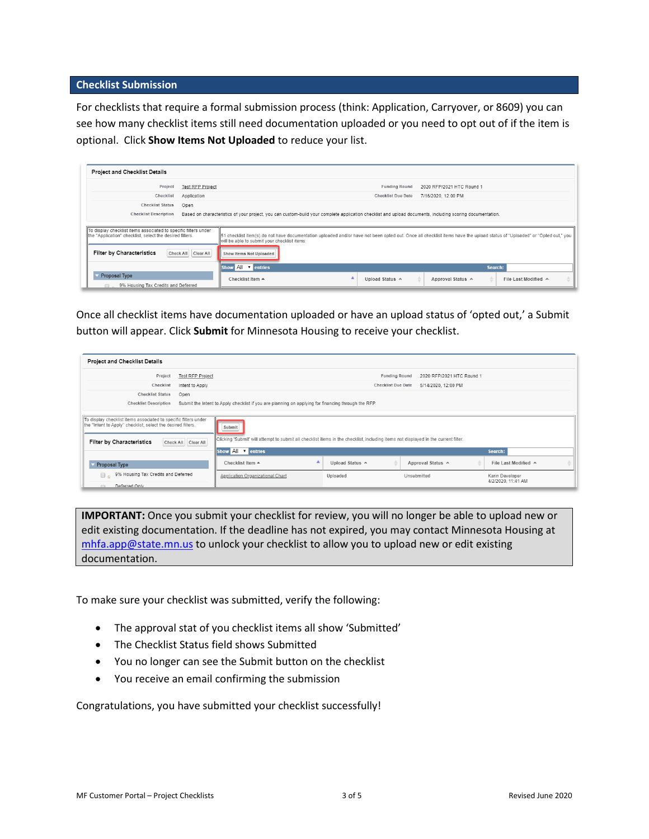#### <span id="page-2-0"></span>**Checklist Submission**

For checklists that require a formal submission process (think: Application, Carryover, or 8609) you can see how many checklist items still need documentation uploaded or you need to opt out of if the item is optional. Click **Show Items Not Uploaded** to reduce your list.

| <b>Project and Checklist Details</b>                                                                                        |                         |                                                                                                                                                                                                                           |  |  |  |
|-----------------------------------------------------------------------------------------------------------------------------|-------------------------|---------------------------------------------------------------------------------------------------------------------------------------------------------------------------------------------------------------------------|--|--|--|
| Project                                                                                                                     | <b>Test RFP Project</b> | <b>Funding Round</b><br>2020 RFP/2021 HTC Round 1                                                                                                                                                                         |  |  |  |
| Checklist                                                                                                                   | Application             | <b>Checklist Due Date</b><br>7/16/2020, 12:00 PM                                                                                                                                                                          |  |  |  |
| <b>Checklist Status</b>                                                                                                     | Open                    |                                                                                                                                                                                                                           |  |  |  |
| <b>Checklist Description</b>                                                                                                |                         | Based on characteristics of your project, you can custom-build your complete application checklist and upload documents, including scoring documentation.                                                                 |  |  |  |
|                                                                                                                             |                         |                                                                                                                                                                                                                           |  |  |  |
| To display checklist items associated to specific filters under<br>the "Application" checklist, select the desired filters. |                         | 51 checklist item(s) do not have documentation uploaded and/or have not been opted out. Once all checklist items have the upload status of "Uploaded" or "Opted out," you<br>will be able to submit your checklist items. |  |  |  |
| <b>Filter by Characteristics</b>                                                                                            | Check All Clear All     | Show Items Not Uploaded                                                                                                                                                                                                   |  |  |  |
|                                                                                                                             |                         | Show All v entries<br>Search:                                                                                                                                                                                             |  |  |  |
| <b>Proposal Type</b>                                                                                                        |                         | Checklist Item ▲<br>Approval Status ^<br>File Last Modified ^<br>Upload Status A                                                                                                                                          |  |  |  |
| 9% Housing Tax Credits and Deferred<br>$\Box$                                                                               |                         |                                                                                                                                                                                                                           |  |  |  |

Once all checklist items have documentation uploaded or have an upload status of 'opted out,' a Submit button will appear. Click **Submit** for Minnesota Housing to receive your checklist.

| <b>Project and Checklist Details</b>                                                                                                                                                       |                         |                                                                                                                                               |                           |                           |                                       |  |
|--------------------------------------------------------------------------------------------------------------------------------------------------------------------------------------------|-------------------------|-----------------------------------------------------------------------------------------------------------------------------------------------|---------------------------|---------------------------|---------------------------------------|--|
| Project                                                                                                                                                                                    | <b>Test RFP Project</b> |                                                                                                                                               | <b>Funding Round</b>      | 2020 RFP/2021 HTC Round 1 |                                       |  |
| Checklist                                                                                                                                                                                  | Intent to Apply         |                                                                                                                                               | <b>Checklist Due Date</b> | 5/14/2020, 12:00 PM       |                                       |  |
| <b>Checklist Status</b>                                                                                                                                                                    | Open                    |                                                                                                                                               |                           |                           |                                       |  |
| <b>Checklist Description</b>                                                                                                                                                               |                         | Submit the Intent to Apply checklist if you are planning on applying for financing through the RFP.                                           |                           |                           |                                       |  |
| To display checklist items associated to specific filters under<br>the "Intent to Apply" checklist, select the desired filters.<br><b>Filter by Characteristics</b><br>Check All Clear All |                         | Submit<br>Clicking 'Submit' will attempt to submit all checklist items in the checklist, including items not displayed in the current filter. |                           |                           |                                       |  |
|                                                                                                                                                                                            |                         | Show All v entries                                                                                                                            |                           |                           | Search:                               |  |
| Proposal Type                                                                                                                                                                              |                         | Checklist Item ▲                                                                                                                              | Upload Status ^           | Approval Status ^         | File Last Modified ^                  |  |
| 9% Housing Tax Credits and Deferred<br>□ 。                                                                                                                                                 |                         | Application Organizational Chart                                                                                                              | Uploaded                  | Unsubmitted               | Karin Developer<br>4/2/2020, 11:41 AM |  |
| Deferred Only                                                                                                                                                                              |                         |                                                                                                                                               |                           |                           |                                       |  |

**IMPORTANT:** Once you submit your checklist for review, you will no longer be able to upload new or edit existing documentation. If the deadline has not expired, you may contact Minnesota Housing at [mhfa.app@state.mn.us](mailto:mhfa.app@state.mn.us) to unlock your checklist to allow you to upload new or edit existing documentation.

To make sure your checklist was submitted, verify the following:

- The approval stat of you checklist items all show 'Submitted'
- The Checklist Status field shows Submitted
- You no longer can see the Submit button on the checklist
- You receive an email confirming the submission

Congratulations, you have submitted your checklist successfully!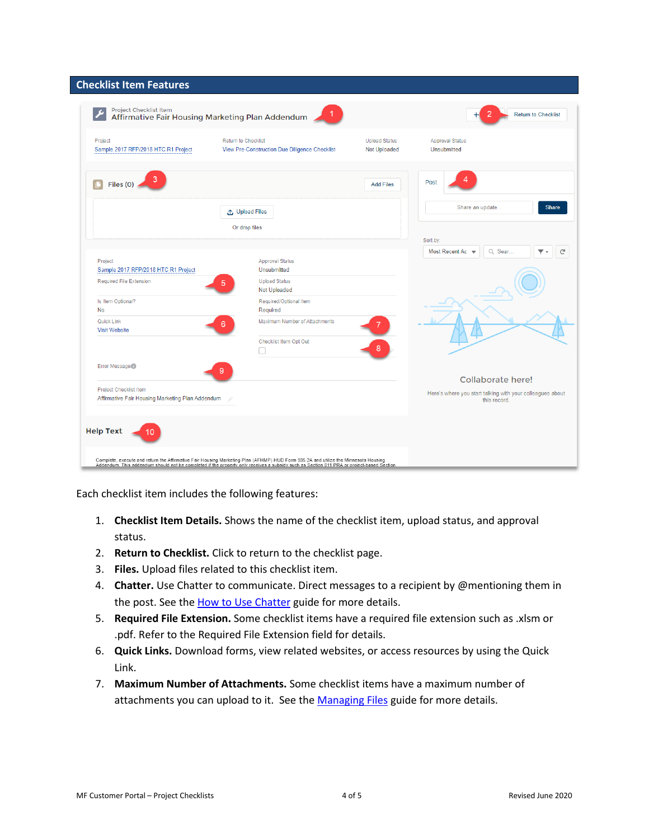<span id="page-3-0"></span>

| <b>Checklist Item Features</b>                                                    |                                                                                                                                                                                                                                                                                |                            |                                                                                                |
|-----------------------------------------------------------------------------------|--------------------------------------------------------------------------------------------------------------------------------------------------------------------------------------------------------------------------------------------------------------------------------|----------------------------|------------------------------------------------------------------------------------------------|
| Project Checklist Item                                                            | Affirmative Fair Housing Marketing Plan Addendum                                                                                                                                                                                                                               | <b>Return to Checklist</b> |                                                                                                |
| Project<br>Sample 2017 RFP/2018 HTC R1 Project                                    | <b>Return to Checklist</b><br>View Pre-Construction Due Diligence Checklist                                                                                                                                                                                                    |                            | <b>Approval Status</b><br>Unsubmitted                                                          |
| Files (0)                                                                         |                                                                                                                                                                                                                                                                                | <b>Add Files</b>           | Post                                                                                           |
|                                                                                   | ← Upload Files                                                                                                                                                                                                                                                                 |                            | Share an update<br><b>Share</b>                                                                |
|                                                                                   | Or drop files                                                                                                                                                                                                                                                                  |                            | Sort by:                                                                                       |
| Project<br>Sample 2017 RFP/2018 HTC R1 Project                                    | <b>Approval Status</b><br>Unsubmitted                                                                                                                                                                                                                                          |                            | Most Recent Ac v<br>Q Sear<br>G                                                                |
| Required File Extension                                                           | <b>Upload Status</b><br>5<br>Not Uploaded                                                                                                                                                                                                                                      |                            |                                                                                                |
| Is Item Optional?<br>No                                                           | Required/Optional Item<br>Required                                                                                                                                                                                                                                             |                            |                                                                                                |
| Quick Link<br><b>Visit Website</b>                                                | Maximum Number of Attachments<br>6                                                                                                                                                                                                                                             |                            |                                                                                                |
|                                                                                   | Checklist Item Opt Out                                                                                                                                                                                                                                                         |                            |                                                                                                |
| Error Message                                                                     | 9                                                                                                                                                                                                                                                                              |                            |                                                                                                |
| <b>Project Checklist Item</b><br>Affirmative Fair Housing Marketing Plan Addendum |                                                                                                                                                                                                                                                                                |                            | Collaborate here!<br>Here's where you start talking with your colleagues about<br>this record. |
|                                                                                   |                                                                                                                                                                                                                                                                                |                            |                                                                                                |
| <b>Help Text</b><br>10                                                            |                                                                                                                                                                                                                                                                                |                            |                                                                                                |
|                                                                                   | Complete, execute and return the Affirmative Fair Housing Marketing Plan (AFHMP) HUD Form 935.2A and utilize the Minnesota Housing<br>Addendum. This addendum should not be completed if the property only receives a subsidy such as Section 811 PRA or project-based Section |                            |                                                                                                |

Each checklist item includes the following features:

- 1. **Checklist Item Details.** Shows the name of the checklist item, upload status, and approval status.
- 2. **Return to Checklist.** Click to return to the checklist page.
- 3. **Files.** Upload files related to this checklist item.
- 4. **Chatter.** Use Chatter to communicate. Direct messages to a recipient by @mentioning them in the post. See the [How to Use Chatter](http://www.mnhousing.gov/get/MHFA_238299) guide for more details.
- 5. **Required File Extension.** Some checklist items have a required file extension such as .xlsm or .pdf. Refer to the Required File Extension field for details.
- 6. **Quick Links.** Download forms, view related websites, or access resources by using the Quick Link.
- 7. **Maximum Number of Attachments.** Some checklist items have a maximum number of attachments you can upload to it. See the [Managing Files](http://www.mnhousing.gov/get/MHFA_239923) guide for more details.